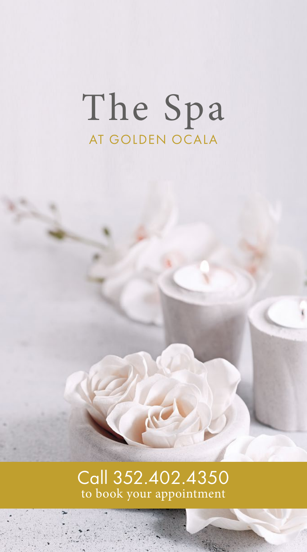# The Spa AT GOLDEN OCALA

# Call 352.402.4350<br>to book your appointment

MC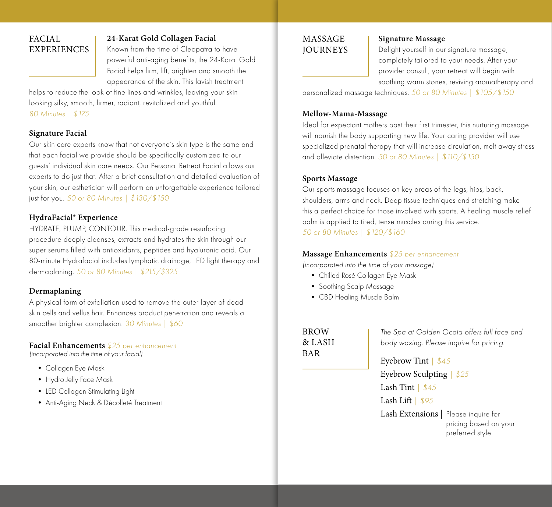# FACIAL EXPERIENCES

#### **24-Karat Gold Collagen Facial**

Known from the time of Cleopatra to have powerful anti-aging benefits, the 24-Karat Gold Facial helps firm, lift, brighten and smooth the appearance of the skin. This lavish treatment

helps to reduce the look of fine lines and wrinkles, leaving your skin looking silky, smooth, firmer, radiant, revitalized and youthful. *80 Minutes | \$175*

#### **Signature Facial**

Our skin care experts know that not everyone's skin type is the same and that each facial we provide should be specifically customized to our guests' individual skin care needs. Our Personal Retreat Facial allows our experts to do just that. After a brief consultation and detailed evaluation of your skin, our esthetician will perform an unforgettable experience tailored just for you. *50 or 80 Minutes | \$130/\$150*

#### **HydraFacial® Experience**

HYDRATE, PLUMP, CONTOUR. This medical-grade resurfacing procedure deeply cleanses, extracts and hydrates the skin through our super serums filled with antioxidants, peptides and hyaluronic acid. Our 80-minute Hydrafacial includes lymphatic drainage, LED light therapy and dermaplaning. *50 or 80 Minutes | \$215/\$325*

#### **Dermaplaning**

A physical form of exfoliation used to remove the outer layer of dead skin cells and vellus hair. Enhances product penetration and reveals a smoother brighter complexion. *30 Minutes | \$60*

#### **Facial Enhancements** *\$25 per enhancement*

*(incorporated into the time of your facial)*

- Collagen Eye Mask
- Hydro Jelly Face Mask
- LED Collagen Stimulating Light
- Anti-Aging Neck & Décolleté Treatment

#### MASSAGE **JOURNEYS**

#### **Signature Massage**

Delight yourself in our signature massage, completely tailored to your needs. After your provider consult, your retreat will begin with soothing warm stones, reviving aromatherapy and

personalized massage techniques. *50 or 80 Minutes | \$105/\$150*

#### **Mellow-Mama-Massage**

Ideal for expectant mothers past their first trimester, this nurturing massage will nourish the body supporting new life. Your caring provider will use specialized prenatal therapy that will increase circulation, melt away stress and alleviate distention. *50 or 80 Minutes | \$110/\$150*

#### **Sports Massage**

Our sports massage focuses on key areas of the legs, hips, back, shoulders, arms and neck. Deep tissue techniques and stretching make this a perfect choice for those involved with sports. A healing muscle relief balm is applied to tired, tense muscles during this service. *50 or 80 Minutes | \$120/\$160* 

#### **Massage Enhancements** *\$25 per enhancement*

*(incorporated into the time of your massage)*

- Chilled Rosé Collagen Eye Mask
- Soothing Scalp Massage
- CBD Healing Muscle Balm

**BROW** & LASH BAR

*The Spa at Golden Ocala offers full face and body waxing. Please inquire for pricing.*

Eyebrow Tint *| \$45* Eyebrow Sculpting *| \$25* Lash Tint *| \$45* Lash Lift *| \$95* Lash Extensions **|** Please inquire for pricing based on your preferred style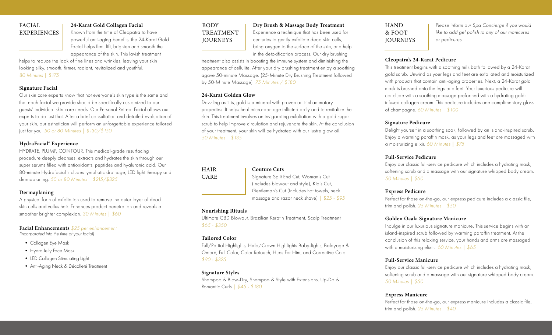# FACIAL EXPERIENCES

# **24-Karat Gold Collagen Facial**

Known from the time of Cleopatra to have powerful anti-aging benefits, the 24-Karat Gold Facial helps firm, lift, brighten and smooth the appearance of the skin. This lavish treatment

helps to reduce the look of fine lines and wrinkles, leaving your skin looking silky, smooth, firmer, radiant, revitalized and youthful. *80 Minutes | \$175*

#### **Signature Facial**

Our skin care experts know that not everyone's skin type is the same and that each facial we provide should be specifically customized to our guests' individual skin care needs. Our Personal Retreat Facial allows our experts to do just that. After a brief consultation and detailed evaluation of your skin, our esthetician will perform an unforgettable experience tailored just for you. *50 or 80 Minutes | \$130/\$150*

#### **HydraFacial® Experience**

HYDRATE, PLUMP, CONTOUR. This medical-grade resurfacing procedure deeply cleanses, extracts and hydrates the skin through our super serums filled with antioxidants, peptides and hyaluronic acid. Our 80-minute Hydrafacial includes lymphatic drainage, LED light therapy and dermaplaning. *50 or 80 Minutes | \$215/\$325*

#### **Dermaplaning**

A physical form of exfoliation used to remove the outer layer of dead skin cells and vellus hair. Enhances product penetration and reveals a smoother brighter complexion. *30 Minutes | \$60*

#### **Facial Enhancements** *\$25 per enhancement*

*(incorporated into the time of your facial)*

- Collagen Eye Mask
- Hydro Jelly Face Mask
- LED Collagen Stimulating Light
- Anti-Aging Neck & Décolleté Treatment

# BODY TREATMENT **JOURNEYS**

# **Dry Brush & Massage Body Treatment**

Experience a technique that has been used for centuries to gently exfoliate dead skin cells, bring oxygen to the surface of the skin, and help in the detoxification process. Our dry brushing

treatment also assists in boosting the immune system and diminishing the appearance of cellulite. After your dry brushing treatment enjoy a soothing agave 50-minute Massage. (25-Minute Dry Brushing Treatment followed by 50-Minute Massage) *75 Minutes / \$180* 

#### **24-Karat Golden Glow**

Dazzling as it is, gold is a mineral with proven anti-inflammatory properties. It helps heal micro-damage inflicted daily and to revitalize the skin. This treatment involves an invigorating exfoliation with a gold sugar scrub to help improve circulation and rejuvenate the skin. At the conclusion of your treatment, your skin will be hydrated with our lustre glow oil. *50 Minutes | \$135*

#### HAIR CARE

#### **Couture Cuts**

Signature Split End Cut, Woman's Cut (Includes blowout and style), Kid's Cut, Gentleman's Cut (Includes hot towels, neck massage and razor neck shave) *| \$25 - \$95*

#### **Nourishing Rituals**

Ultimate CBD Blowout, Brazilian Keratin Treatment, Scalp Treatment *\$65 - \$350*

#### **Tailored Color**

Full/Partial Highlights, Halo/Crown Highlights Baby-lights, Balayage & Ombré, Full Color, Color Retouch, Hues For Him, and Corrective Color *\$90 - \$325*

#### **Signature Styles**

Shampoo & Blow-Dry, Shampoo & Style with Extensions, Up-Do & Romantic Curls *| \$45 - \$180*

# **HAND** & FOOT **JOURNEYS**

*Please inform our Spa Concierge if you would like to add gel polish to any of our manicures or pedicures.* 

#### **Cleopatra's 24-Karat Pedicure**

This treatment begins with a soothing milk bath followed by a 24-Karat gold scrub. Unwind as your legs and feet are exfoliated and moisturized with products that contain anti-aging properties. Next, a 24-Karat gold mask is brushed onto the legs and feet. Your luxurious pedicure will conclude with a soothing massage preformed with a hydrating goldinfused collagen cream. This pedicure includes one complimentary glass of champagne. *60 Minutes | \$100*

#### **Signature Pedicure**

Delight yourself in a soothing soak, followed by an island-inspired scrub. Enjoy a warming paraffin mask, as your legs and feet are massaged with a moisturizing elixir. *60 Minutes | \$75*

#### **Full-Service Pedicure**

Enjoy our classic full-service pedicure which includes a hydrating mask, softening scrub and a massage with our signature whipped body cream. *50 Minutes | \$60* 

#### **Express Pedicure**

Perfect for those on-the-go, our express pedicure includes a classic file, trim and polish. *25 Minutes | \$50*

#### **Golden Ocala Signature Manicure**

Indulge in our luxurious signature manicure. This service begins with an island-inspired scrub followed by warming paraffin treatment. At the conclusion of this relaxing service, your hands and arms are massaged with a moisturizing elixir. *60 Minutes | \$65*

#### **Full-Service Manicure**

Enjoy our classic full-service pedicure which includes a hydrating mask, softening scrub and a massage with our signature whipped body cream. *50 Minutes | \$50* 

#### **Express Manicure**

Perfect for those on-the-go, our express manicure includes a classic file, trim and polish. *25 Minutes | \$40*